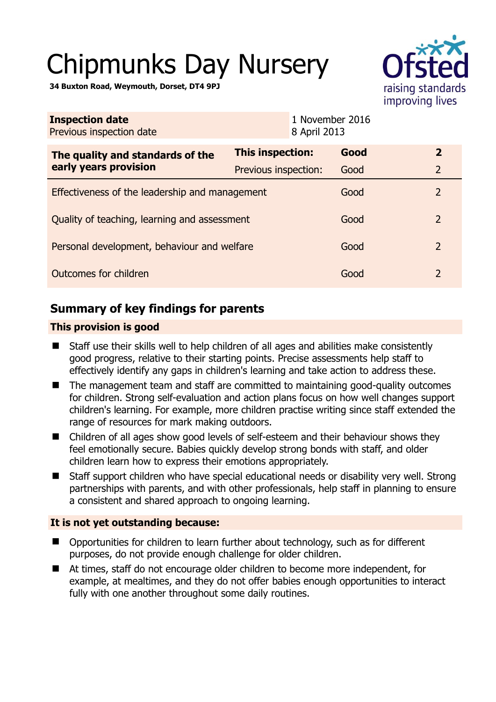# Chipmunks Day Nursery



**34 Buxton Road, Weymouth, Dorset, DT4 9PJ** 

| <b>Inspection date</b><br>Previous inspection date        | 8 April 2013         | 1 November 2016 |                |
|-----------------------------------------------------------|----------------------|-----------------|----------------|
| The quality and standards of the<br>early years provision | This inspection:     | Good            | $\overline{2}$ |
|                                                           | Previous inspection: | Good            | $\overline{2}$ |
| Effectiveness of the leadership and management            |                      | Good            | $\overline{2}$ |
| Quality of teaching, learning and assessment              |                      | Good            | $\overline{2}$ |
| Personal development, behaviour and welfare               |                      | Good            | $\overline{2}$ |
| Outcomes for children                                     |                      | Good            | 2              |

# **Summary of key findings for parents**

## **This provision is good**

- Staff use their skills well to help children of all ages and abilities make consistently good progress, relative to their starting points. Precise assessments help staff to effectively identify any gaps in children's learning and take action to address these.
- The management team and staff are committed to maintaining good-quality outcomes for children. Strong self-evaluation and action plans focus on how well changes support children's learning. For example, more children practise writing since staff extended the range of resources for mark making outdoors.
- Children of all ages show good levels of self-esteem and their behaviour shows they feel emotionally secure. Babies quickly develop strong bonds with staff, and older children learn how to express their emotions appropriately.
- Staff support children who have special educational needs or disability very well. Strong partnerships with parents, and with other professionals, help staff in planning to ensure a consistent and shared approach to ongoing learning.

## **It is not yet outstanding because:**

- Opportunities for children to learn further about technology, such as for different purposes, do not provide enough challenge for older children.
- At times, staff do not encourage older children to become more independent, for example, at mealtimes, and they do not offer babies enough opportunities to interact fully with one another throughout some daily routines.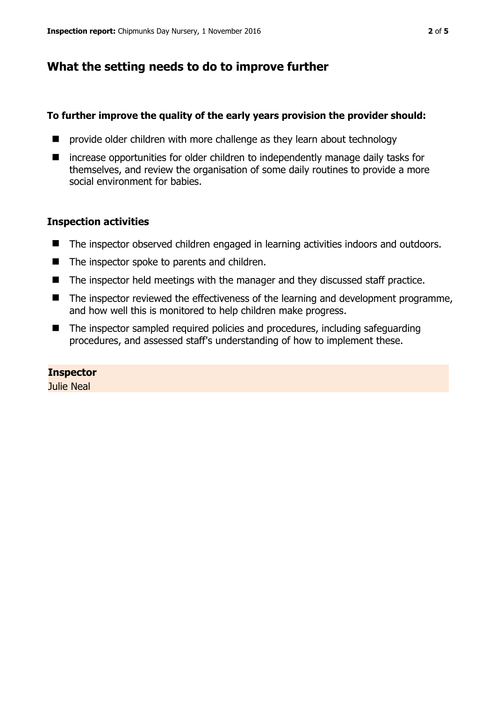# **What the setting needs to do to improve further**

## **To further improve the quality of the early years provision the provider should:**

- **E** provide older children with more challenge as they learn about technology
- increase opportunities for older children to independently manage daily tasks for themselves, and review the organisation of some daily routines to provide a more social environment for babies.

## **Inspection activities**

- The inspector observed children engaged in learning activities indoors and outdoors.
- The inspector spoke to parents and children.
- $\blacksquare$  The inspector held meetings with the manager and they discussed staff practice.
- The inspector reviewed the effectiveness of the learning and development programme, and how well this is monitored to help children make progress.
- The inspector sampled required policies and procedures, including safeguarding procedures, and assessed staff's understanding of how to implement these.

## **Inspector**

Julie Neal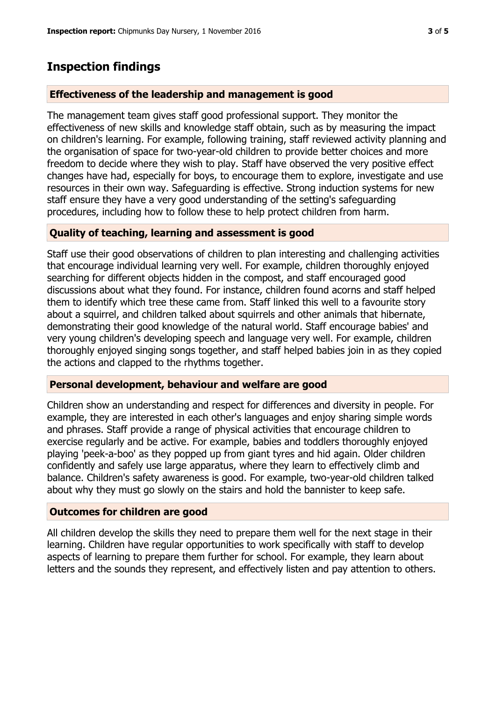## **Inspection findings**

#### **Effectiveness of the leadership and management is good**

The management team gives staff good professional support. They monitor the effectiveness of new skills and knowledge staff obtain, such as by measuring the impact on children's learning. For example, following training, staff reviewed activity planning and the organisation of space for two-year-old children to provide better choices and more freedom to decide where they wish to play. Staff have observed the very positive effect changes have had, especially for boys, to encourage them to explore, investigate and use resources in their own way. Safeguarding is effective. Strong induction systems for new staff ensure they have a very good understanding of the setting's safeguarding procedures, including how to follow these to help protect children from harm.

#### **Quality of teaching, learning and assessment is good**

Staff use their good observations of children to plan interesting and challenging activities that encourage individual learning very well. For example, children thoroughly enjoyed searching for different objects hidden in the compost, and staff encouraged good discussions about what they found. For instance, children found acorns and staff helped them to identify which tree these came from. Staff linked this well to a favourite story about a squirrel, and children talked about squirrels and other animals that hibernate, demonstrating their good knowledge of the natural world. Staff encourage babies' and very young children's developing speech and language very well. For example, children thoroughly enjoyed singing songs together, and staff helped babies join in as they copied the actions and clapped to the rhythms together.

#### **Personal development, behaviour and welfare are good**

Children show an understanding and respect for differences and diversity in people. For example, they are interested in each other's languages and enjoy sharing simple words and phrases. Staff provide a range of physical activities that encourage children to exercise regularly and be active. For example, babies and toddlers thoroughly enjoyed playing 'peek-a-boo' as they popped up from giant tyres and hid again. Older children confidently and safely use large apparatus, where they learn to effectively climb and balance. Children's safety awareness is good. For example, two-year-old children talked about why they must go slowly on the stairs and hold the bannister to keep safe.

#### **Outcomes for children are good**

All children develop the skills they need to prepare them well for the next stage in their learning. Children have regular opportunities to work specifically with staff to develop aspects of learning to prepare them further for school. For example, they learn about letters and the sounds they represent, and effectively listen and pay attention to others.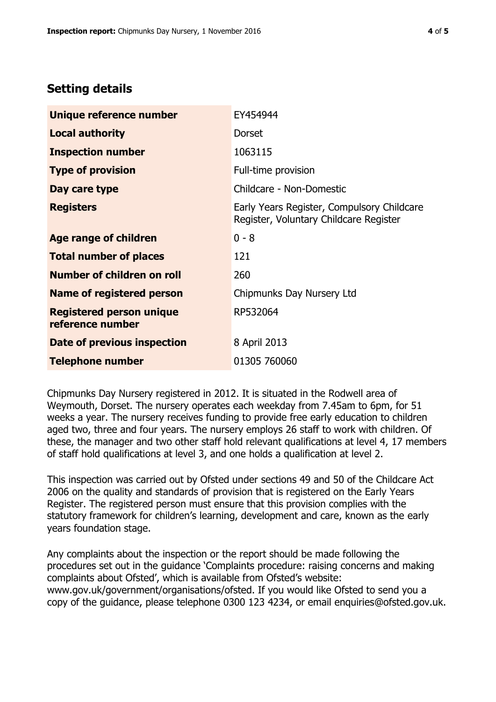# **Setting details**

| Unique reference number                             | EY454944                                                                             |  |
|-----------------------------------------------------|--------------------------------------------------------------------------------------|--|
| <b>Local authority</b>                              | <b>Dorset</b>                                                                        |  |
| <b>Inspection number</b>                            | 1063115                                                                              |  |
| <b>Type of provision</b>                            | Full-time provision                                                                  |  |
| Day care type                                       | Childcare - Non-Domestic                                                             |  |
| <b>Registers</b>                                    | Early Years Register, Compulsory Childcare<br>Register, Voluntary Childcare Register |  |
| Age range of children                               | $0 - 8$                                                                              |  |
| <b>Total number of places</b>                       | 121                                                                                  |  |
| Number of children on roll                          | 260                                                                                  |  |
| Name of registered person                           | Chipmunks Day Nursery Ltd                                                            |  |
| <b>Registered person unique</b><br>reference number | RP532064                                                                             |  |
| Date of previous inspection                         | 8 April 2013                                                                         |  |
| <b>Telephone number</b>                             | 01305 760060                                                                         |  |

Chipmunks Day Nursery registered in 2012. It is situated in the Rodwell area of Weymouth, Dorset. The nursery operates each weekday from 7.45am to 6pm, for 51 weeks a year. The nursery receives funding to provide free early education to children aged two, three and four years. The nursery employs 26 staff to work with children. Of these, the manager and two other staff hold relevant qualifications at level 4, 17 members of staff hold qualifications at level 3, and one holds a qualification at level 2.

This inspection was carried out by Ofsted under sections 49 and 50 of the Childcare Act 2006 on the quality and standards of provision that is registered on the Early Years Register. The registered person must ensure that this provision complies with the statutory framework for children's learning, development and care, known as the early years foundation stage.

Any complaints about the inspection or the report should be made following the procedures set out in the guidance 'Complaints procedure: raising concerns and making complaints about Ofsted', which is available from Ofsted's website: www.gov.uk/government/organisations/ofsted. If you would like Ofsted to send you a copy of the guidance, please telephone 0300 123 4234, or email enquiries@ofsted.gov.uk.